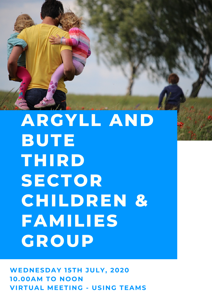

## **ARGYLL AND BUTE THIRD SECTOR CHILDREN & FAMILIES GROUP**

**WEDNESDAY 15TH JULY, 2020 10.00AM TO NOON VIRTUAL MEETING - USING TEAMS**